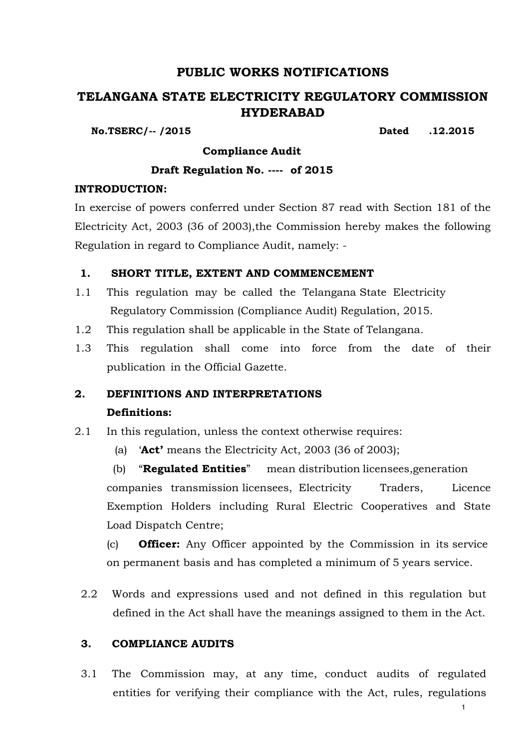## **PUBLIC WORKS NOTIFICATIONS**

# **TELANGANA STATE ELECTRICITY REGULATORY COMMISSION HYDERABAD**

**No.TSERC/-- /2015 Dated .12.2015**

**Compliance Audit**

## **Draft Regulation No. ---- of 2015**

## **INTRODUCTION:**

In exercise of powers conferred under Section 87 read with Section 181 of the Electricity Act, 2003 (36 of 2003),the Commission hereby makes the following Regulation in regard to Compliance Audit, namely: -

## **1. SHORT TITLE, EXTENT AND COMMENCEMENT**

- 1.1 This regulation may be called the Telangana State Electricity Regulatory Commission (Compliance Audit) Regulation, 2015.
- 1.2 This regulation shall be applicable in the State of Telangana.
- 1.3 This regulation shall come into force from the date of their publication in the Official Gazette.

# **2. DEFINITIONS AND INTERPRETATIONS Definitions:**

- 2.1 In this regulation, unless the context otherwise requires:
	- (a) "**Act'** means the Electricity Act, 2003 (36 of 2003);

(b) "**Regulated Entities**" mean distribution licensees,generation companies transmission licensees, Electricity Traders, Licence Exemption Holders including Rural Electric Cooperatives and State Load Dispatch Centre;

(c) **Officer:** Any Officer appointed by the Commission in its service on permanent basis and has completed a minimum of 5 years service.

2.2 Words and expressions used and not defined in this regulation but defined in the Act shall have the meanings assigned to them in the Act.

## **3. COMPLIANCE AUDITS**

3.1 The Commission may, at any time, conduct audits of regulated entities for verifying their compliance with the Act, rules, regulations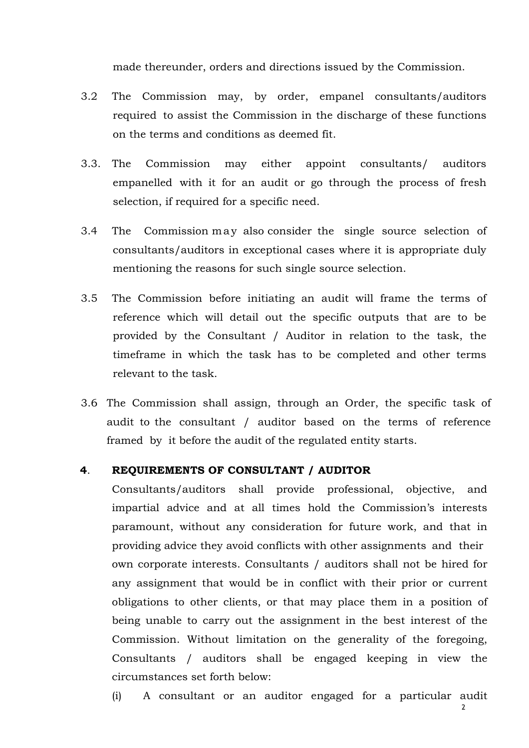made thereunder, orders and directions issued by the Commission.

- 3.2 The Commission may, by order, empanel consultants/auditors required to assist the Commission in the discharge of these functions on the terms and conditions as deemed fit.
- 3.3. The Commission may either appoint consultants/ auditors empanelled with it for an audit or go through the process of fresh selection, if required for a specific need.
- 3.4 The Commission may also consider the single source selection of consultants/auditors in exceptional cases where it is appropriate duly mentioning the reasons for such single source selection.
- 3.5 The Commission before initiating an audit will frame the terms of reference which will detail out the specific outputs that are to be provided by the Consultant / Auditor in relation to the task, the timeframe in which the task has to be completed and other terms relevant to the task.
- 3.6 The Commission shall assign, through an Order, the specific task of audit to the consultant / auditor based on the terms of reference framed by it before the audit of the regulated entity starts.

#### **4**. **REQUIREMENTS OF CONSULTANT / AUDITOR**

Consultants/auditors shall provide professional, objective, and impartial advice and at all times hold the Commission's interests paramount, without any consideration for future work, and that in providing advice they avoid conflicts with other assignments and their own corporate interests. Consultants / auditors shall not be hired for any assignment that would be in conflict with their prior or current obligations to other clients, or that may place them in a position of being unable to carry out the assignment in the best interest of the Commission. Without limitation on the generality of the foregoing, Consultants / auditors shall be engaged keeping in view the circumstances set forth below:

(i) A consultant or an auditor engaged for a particular audit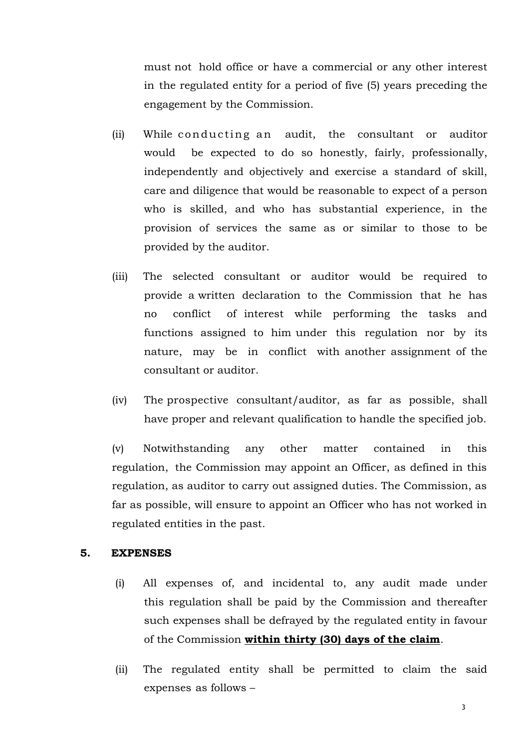must not hold office or have a commercial or any other interest in the regulated entity for a period of five (5) years preceding the engagement by the Commission.

- (ii) While conducting an audit, the consultant or auditor would be expected to do so honestly, fairly, professionally, independently and objectively and exercise a standard of skill, care and diligence that would be reasonable to expect of a person who is skilled, and who has substantial experience, in the provision of services the same as or similar to those to be provided by the auditor.
- (iii) The selected consultant or auditor would be required to provide a written declaration to the Commission that he has no conflict of interest while performing the tasks and functions assigned to him under this regulation nor by its nature, may be in conflict with another assignment of the consultant or auditor.
- (iv) The prospective consultant/auditor, as far as possible, shall have proper and relevant qualification to handle the specified job.

(v) Notwithstanding any other matter contained in this regulation, the Commission may appoint an Officer, as defined in this regulation, as auditor to carry out assigned duties. The Commission, as far as possible, will ensure to appoint an Officer who has not worked in regulated entities in the past.

#### **5. EXPENSES**

- (i) All expenses of, and incidental to, any audit made under this regulation shall be paid by the Commission and thereafter such expenses shall be defrayed by the regulated entity in favour of the Commission **within thirty (30) days of the claim**.
- (ii) The regulated entity shall be permitted to claim the said expenses as follows –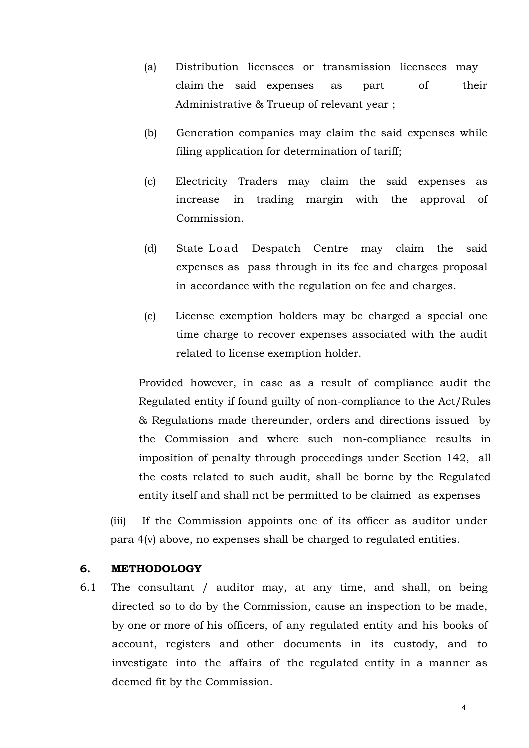- (a) Distribution licensees or transmission licensees may claim the said expenses as part of their Administrative & Trueup of relevant year ;
- (b) Generation companies may claim the said expenses while filing application for determination of tariff;
- (c) Electricity Traders may claim the said expenses as increase in trading margin with the approval of Commission.
- (d) State Load Despatch Centre may claim the said expenses as pass through in its fee and charges proposal in accordance with the regulation on fee and charges.
- (e) License exemption holders may be charged a special one time charge to recover expenses associated with the audit related to license exemption holder.

Provided however, in case as a result of compliance audit the Regulated entity if found guilty of non-compliance to the Act/Rules & Regulations made thereunder, orders and directions issued by the Commission and where such non-compliance results in imposition of penalty through proceedings under Section 142, all the costs related to such audit, shall be borne by the Regulated entity itself and shall not be permitted to be claimed as expenses

(iii) If the Commission appoints one of its officer as auditor under para 4(v) above, no expenses shall be charged to regulated entities.

### **6. METHODOLOGY**

6.1 The consultant / auditor may, at any time, and shall, on being directed so to do by the Commission, cause an inspection to be made, by one or more of his officers, of any regulated entity and his books of account, registers and other documents in its custody, and to investigate into the affairs of the regulated entity in a manner as deemed fit by the Commission.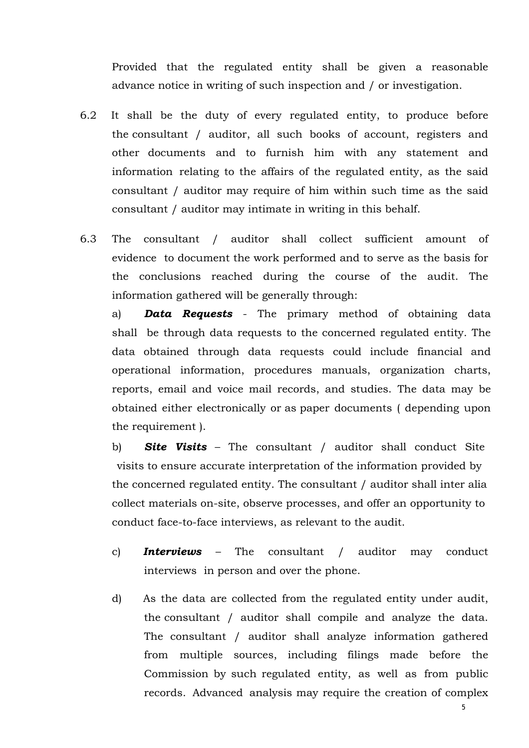Provided that the regulated entity shall be given a reasonable advance notice in writing of such inspection and / or investigation.

- 6.2 It shall be the duty of every regulated entity, to produce before the consultant / auditor, all such books of account, registers and other documents and to furnish him with any statement and information relating to the affairs of the regulated entity, as the said consultant / auditor may require of him within such time as the said consultant / auditor may intimate in writing in this behalf.
- 6.3 The consultant / auditor shall collect sufficient amount of evidence to document the work performed and to serve as the basis for the conclusions reached during the course of the audit. The information gathered will be generally through:

a) *Data Requests* - The primary method of obtaining data shall be through data requests to the concerned regulated entity. The data obtained through data requests could include financial and operational information, procedures manuals, organization charts, reports, email and voice mail records, and studies. The data may be obtained either electronically or as paper documents ( depending upon the requirement ).

b) *Site Visits* – The consultant / auditor shall conduct Site visits to ensure accurate interpretation of the information provided by the concerned regulated entity. The consultant / auditor shall inter alia collect materials on-site, observe processes, and offer an opportunity to conduct face-to-face interviews, as relevant to the audit.

- c) *Interviews*  The consultant / auditor may conduct interviews in person and over the phone.
- d) As the data are collected from the regulated entity under audit, the consultant / auditor shall compile and analyze the data. The consultant / auditor shall analyze information gathered from multiple sources, including filings made before the Commission by such regulated entity, as well as from public records. Advanced analysis may require the creation of complex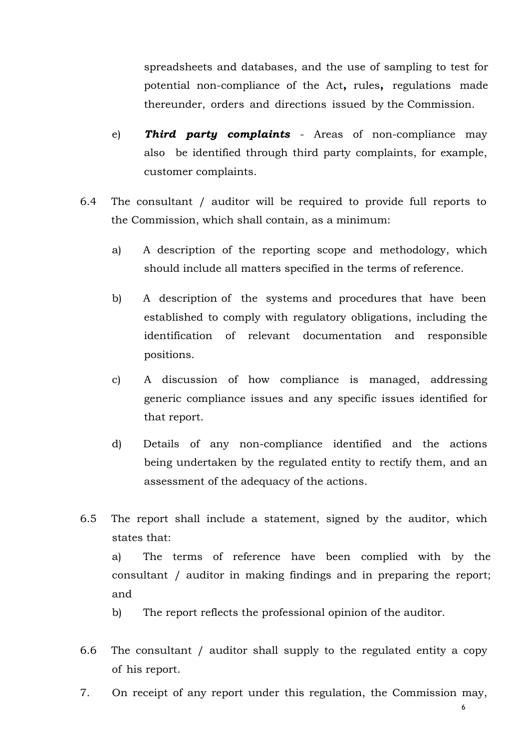spreadsheets and databases, and the use of sampling to test for potential non-compliance of the Act**,** rules**,** regulations made thereunder, orders and directions issued by the Commission.

- e) *Third party complaints*  Areas of non-compliance may also be identified through third party complaints, for example, customer complaints.
- 6.4 The consultant / auditor will be required to provide full reports to the Commission, which shall contain, as a minimum:
	- a) A description of the reporting scope and methodology, which should include all matters specified in the terms of reference.
	- b) A description of the systems and procedures that have been established to comply with regulatory obligations, including the identification of relevant documentation and responsible positions.
	- c) A discussion of how compliance is managed, addressing generic compliance issues and any specific issues identified for that report.
	- d) Details of any non-compliance identified and the actions being undertaken by the regulated entity to rectify them, and an assessment of the adequacy of the actions.
- 6.5 The report shall include a statement, signed by the auditor, which states that:

a) The terms of reference have been complied with by the consultant / auditor in making findings and in preparing the report; and

b) The report reflects the professional opinion of the auditor.

- 6.6 The consultant / auditor shall supply to the regulated entity a copy of his report.
- 7. On receipt of any report under this regulation, the Commission may,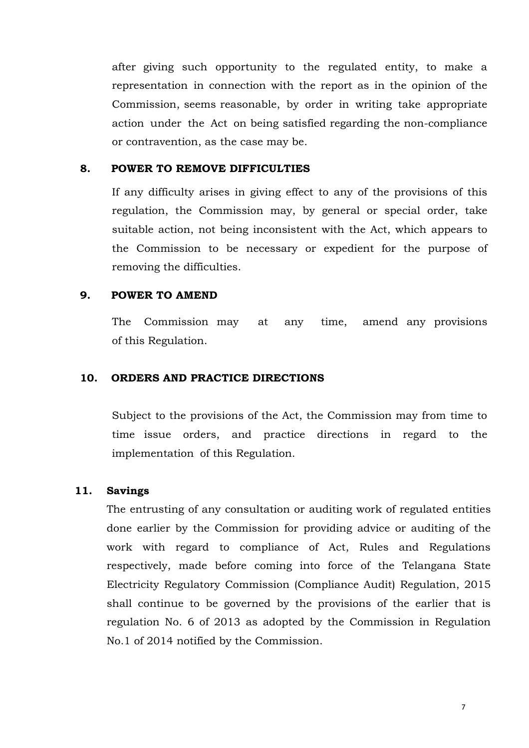after giving such opportunity to the regulated entity, to make a representation in connection with the report as in the opinion of the Commission, seems reasonable, by order in writing take appropriate action under the Act on being satisfied regarding the non-compliance or contravention, as the case may be.

#### **8. POWER TO REMOVE DIFFICULTIES**

If any difficulty arises in giving effect to any of the provisions of this regulation, the Commission may, by general or special order, take suitable action, not being inconsistent with the Act, which appears to the Commission to be necessary or expedient for the purpose of removing the difficulties.

#### **9. POWER TO AMEND**

The Commission may at any time, amend any provisions of this Regulation.

#### **10. ORDERS AND PRACTICE DIRECTIONS**

Subject to the provisions of the Act, the Commission may from time to time issue orders, and practice directions in regard to the implementation of this Regulation.

#### **11. Savings**

The entrusting of any consultation or auditing work of regulated entities done earlier by the Commission for providing advice or auditing of the work with regard to compliance of Act, Rules and Regulations respectively, made before coming into force of the Telangana State Electricity Regulatory Commission (Compliance Audit) Regulation, 2015 shall continue to be governed by the provisions of the earlier that is regulation No. 6 of 2013 as adopted by the Commission in Regulation No.1 of 2014 notified by the Commission.